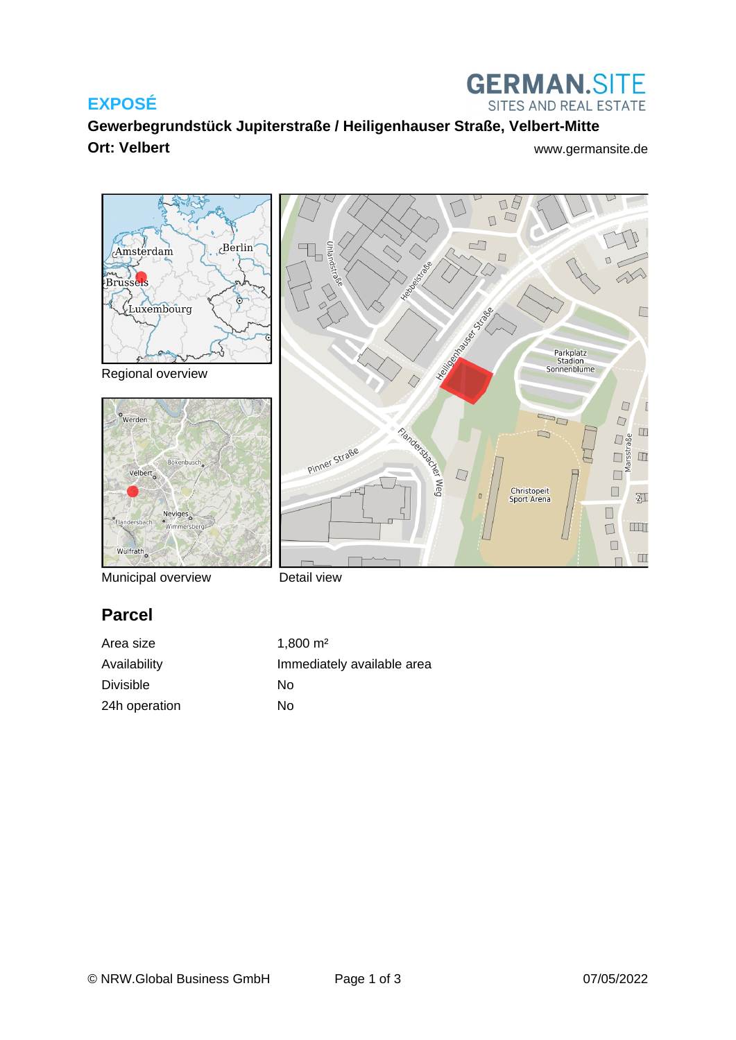### **EXPOSÉ**



DA

**Gewerbegrundstück Jupiterstraße / Heiligenhauser Straße, Velbert-Mitte Ort: Velbert** [www.germansite.de](http://www.germansite.de)



Regional overview





Municipal overview

Detail view

# **Parcel**

Area size 1,800 m<sup>2</sup> Availability **Immediately** available area Divisible No 24h operation No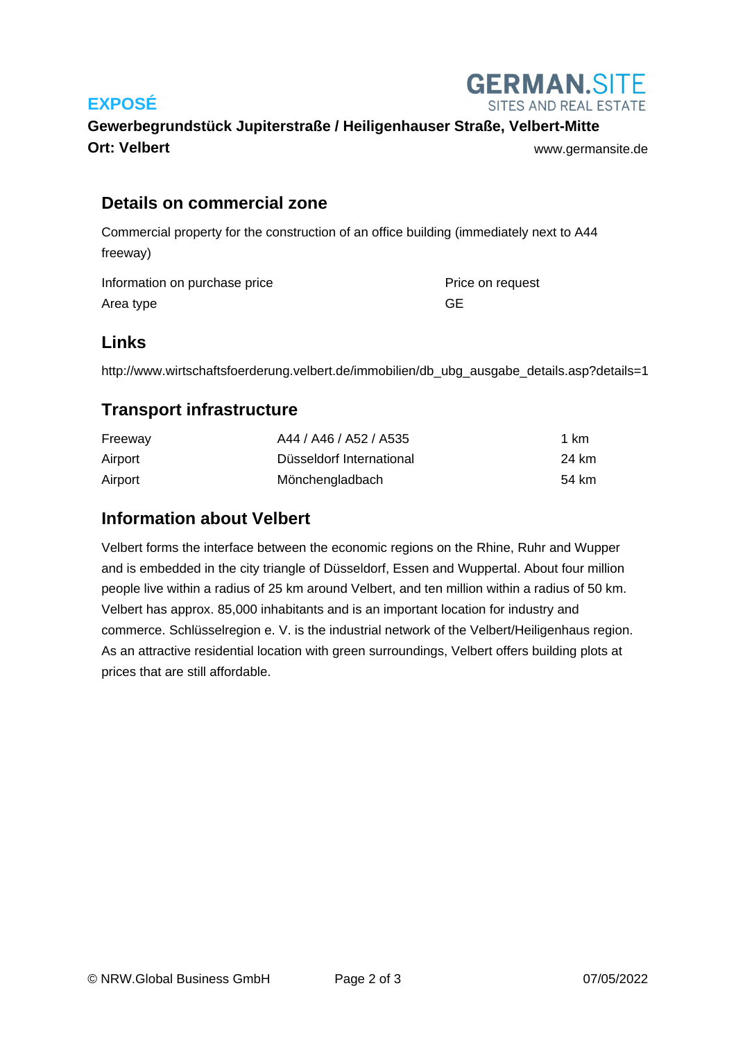



# **Gewerbegrundstück Jupiterstraße / Heiligenhauser Straße, Velbert-Mitte Ort: Velbert** [www.germansite.de](http://www.germansite.de)

#### **Details on commercial zone**

Commercial property for the construction of an office building (immediately next to A44 freeway)

Information on purchase price **Price Conservation** Price on request Area type GE

#### **Links**

http://www.wirtschaftsfoerderung.velbert.de/immobilien/db\_ubg\_ausgabe\_details.asp?details=1

#### **Transport infrastructure**

| Freeway | A44 / A46 / A52 / A535   | 1 km  |
|---------|--------------------------|-------|
| Airport | Düsseldorf International | 24 km |
| Airport | Mönchengladbach          | 54 km |

#### **Information about Velbert**

Velbert forms the interface between the economic regions on the Rhine, Ruhr and Wupper and is embedded in the city triangle of Düsseldorf, Essen and Wuppertal. About four million people live within a radius of 25 km around Velbert, and ten million within a radius of 50 km. Velbert has approx. 85,000 inhabitants and is an important location for industry and commerce. Schlüsselregion e. V. is the industrial network of the Velbert/Heiligenhaus region. As an attractive residential location with green surroundings, Velbert offers building plots at prices that are still affordable.